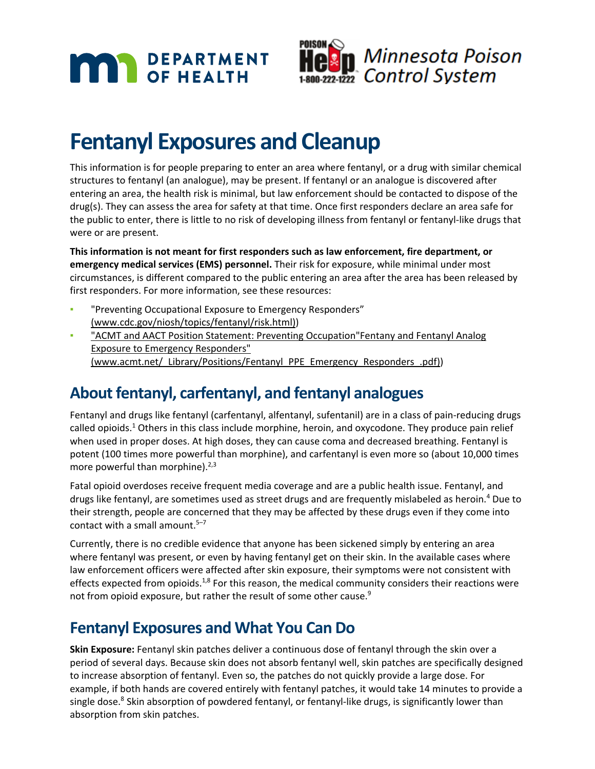



# **Fentanyl Exposures and Cleanup**

This information is for people preparing to enter an area where fentanyl, or a drug with similar chemical structures to fentanyl (an analogue), may be present. If fentanyl or an analogue is discovered after entering an area, the health risk is minimal, but law enforcement should be contacted to dispose of the drug(s). They can assess the area for safety at that time. Once first responders declare an area safe for the public to enter, there is little to no risk of developing illness from fentanyl or fentanyl-like drugs that were or are present.

**This information is not meant for first responders such as law enforcement, fire department, or emergency medical services (EMS) personnel.** Their risk for exposure, while minimal under most circumstances, is different compared to the public entering an area after the area has been released by first responders. For more information, see these resources:

- "Preventing Occupational Exposure to Emergency Responders" (www.cdc.gov/niosh/topics/fentanyl/risk.html))
- **"ACMT and AACT Position Statement: Preventing Occupation"Fentany and Fentanyl Analog** Exposure to Emergency Responders" (www.acmt.net/\_Library/Positions/Fentanyl\_PPE\_Emergency\_Responders\_.pdf))

## **About fentanyl, carfentanyl, and fentanyl analogues**

Fentanyl and drugs like fentanyl (carfentanyl, alfentanyl, sufentanil) are in a class of pain-reducing drugs called opioids. $1$  Others in this class include morphine, heroin, and oxycodone. They produce pain relief when used in proper doses. At high doses, they can cause coma and decreased breathing. Fentanyl is potent (100 times more powerful than morphine), and carfentanyl is even more so (about 10,000 times more powerful than morphine). $2,3$ 

Fatal opioid overdoses receive frequent media coverage and are a public health issue. Fentanyl, and drugs like fentanyl, are sometimes used as street drugs and are frequently mislabeled as heroin.4 Due to their strength, people are concerned that they may be affected by these drugs even if they come into contact with a small amount. $5-7$ 

Currently, there is no credible evidence that anyone has been sickened simply by entering an area where fentanyl was present, or even by having fentanyl get on their skin. In the available cases where law enforcement officers were affected after skin exposure, their symptoms were not consistent with effects expected from opioids.<sup>1,8</sup> For this reason, the medical community considers their reactions were not from opioid exposure, but rather the result of some other cause.<sup>9</sup>

### **Fentanyl Exposures and What You Can Do**

**Skin Exposure:** Fentanyl skin patches deliver a continuous dose of fentanyl through the skin over a period of several days. Because skin does not absorb fentanyl well, skin patches are specifically designed to increase absorption of fentanyl. Even so, the patches do not quickly provide a large dose. For example, if both hands are covered entirely with fentanyl patches, it would take 14 minutes to provide a single dose.<sup>8</sup> Skin absorption of powdered fentanyl, or fentanyl-like drugs, is significantly lower than absorption from skin patches.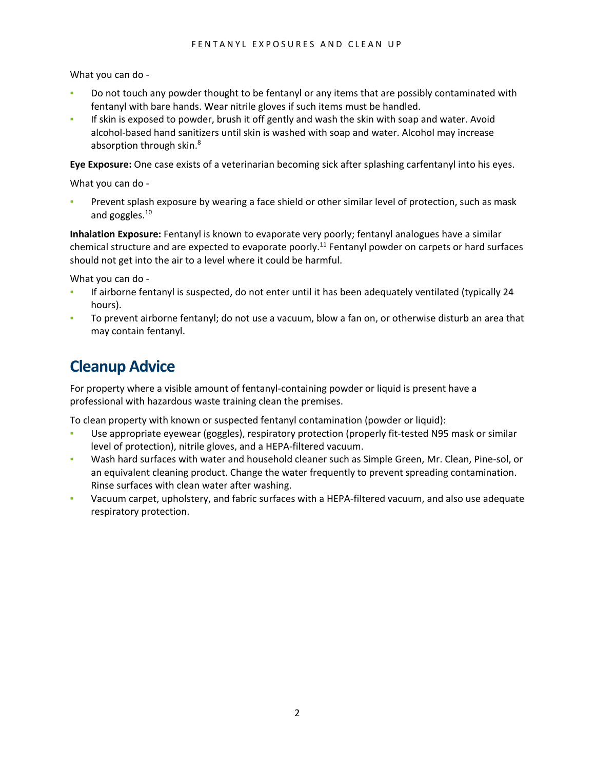What you can do -

- Do not touch any powder thought to be fentanyl or any items that are possibly contaminated with fentanyl with bare hands. Wear nitrile gloves if such items must be handled.
- If skin is exposed to powder, brush it off gently and wash the skin with soap and water. Avoid alcohol-based hand sanitizers until skin is washed with soap and water. Alcohol may increase absorption through skin.<sup>8</sup>

**Eye Exposure:** One case exists of a veterinarian becoming sick after splashing carfentanyl into his eyes.

What you can do -

Prevent splash exposure by wearing a face shield or other similar level of protection, such as mask and goggles.<sup>10</sup>

**Inhalation Exposure:** Fentanyl is known to evaporate very poorly; fentanyl analogues have a similar chemical structure and are expected to evaporate poorly.<sup>11</sup> Fentanyl powder on carpets or hard surfaces should not get into the air to a level where it could be harmful.

What you can do -

- If airborne fentanyl is suspected, do not enter until it has been adequately ventilated (typically 24 hours).
- To prevent airborne fentanyl; do not use a vacuum, blow a fan on, or otherwise disturb an area that may contain fentanyl.

#### **Cleanup Advice**

For property where a visible amount of fentanyl-containing powder or liquid is present have a professional with hazardous waste training clean the premises.

To clean property with known or suspected fentanyl contamination (powder or liquid):

- Use appropriate eyewear (goggles), respiratory protection (properly fit-tested N95 mask or similar level of protection), nitrile gloves, and a HEPA-filtered vacuum.
- Wash hard surfaces with water and household cleaner such as Simple Green, Mr. Clean, Pine-sol, or an equivalent cleaning product. Change the water frequently to prevent spreading contamination. Rinse surfaces with clean water after washing.
- Vacuum carpet, upholstery, and fabric surfaces with a HEPA-filtered vacuum, and also use adequate respiratory protection.